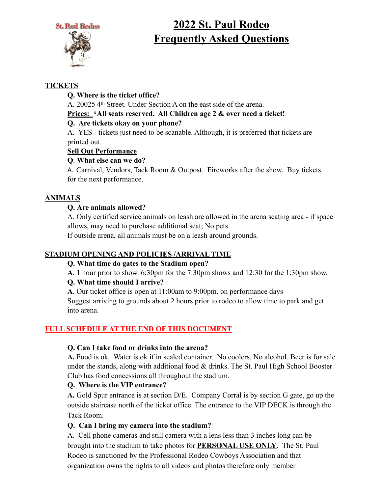



# **2022 St. Paul Rodeo Frequently Asked Questions**

## **TICKETS**

## **Q. Where is the ticket office?**

A. 20025 4th Street. Under Section A on the east side of the arena.

## **Prices: \*All seats reserved. All Children age 2 & over need a ticket!**

## **Q. Are tickets okay on your phone?**

 A. YES - tickets just need to be scanable. Although, it is preferred that tickets are printed out.

## **Sell Out Performance**

## **Q**. **What else can we do?**

A. Carnival, Vendors, Tack Room & Outpost. Fireworks after the show. Buy tickets for the next performance.

## **ANIMALS**

## **Q. Are animals allowed?**

A. Only certified service animals on leash are allowed in the arena seating area - if space allows, may need to purchase additional seat; No pets.

If outside arena, all animals must be on a leash around grounds.

## **STADIUM OPENING AND POLICIES /ARRIVAL TIME**

## **Q. What time do gates to the Stadium open?**

**A**. 1 hour prior to show. 6:30pm for the 7:30pm shows and 12:30 for the 1:30pm show.

## **Q. What time should I arrive?**

**A**. Our ticket office is open at 11:00am to 9:00pm. on performance days Suggest arriving to grounds about 2 hours prior to rodeo to allow time to park and get into arena.

## **FULL SCHEDULE AT THE END OF THIS DOCUMENT**

## **Q. Can I take food or drinks into the arena?**

**A.** Food is ok. Water is ok if in sealed container. No coolers. No alcohol. Beer is for sale under the stands, along with additional food  $&$  drinks. The St. Paul High School Booster Club has food concessions all throughout the stadium.

## **Q. Where is the VIP entrance?**

 **A.** Gold Spur entrance is at section D/E. Company Corral is by section G gate, go up the outside staircase north of the ticket office. The entrance to the VIP DECK is through the Tack Room.

## **Q. Can I bring my camera into the stadium?**

A. Cell phone cameras and still camera with a lens less than 3 inches long can be brought into the stadium to take photos for **PERSONAL USE ONLY**. The St. Paul Rodeo is sanctioned by the Professional Rodeo Cowboys Association and that organization owns the rights to all videos and photos therefore only member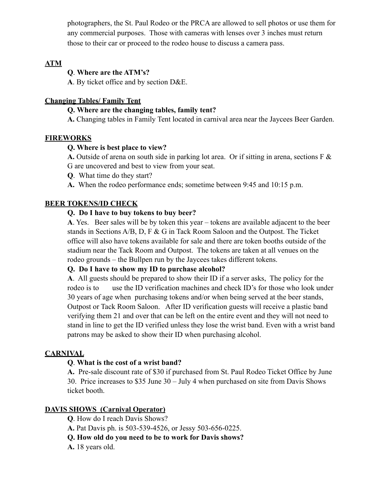photographers, the St. Paul Rodeo or the PRCA are allowed to sell photos or use them for any commercial purposes. Those with cameras with lenses over 3 inches must return those to their car or proceed to the rodeo house to discuss a camera pass.

#### **ATM**

#### **Q**. **Where are the ATM's?**

**A**. By ticket office and by section D&E.

#### **Changing Tables/ Family Tent**

#### **Q. Where are the changing tables, family tent?**

**A.** Changing tables in Family Tent located in carnival area near the Jaycees Beer Garden.

#### **FIREWORKS**

#### **Q. Where is best place to view?**

**A.** Outside of arena on south side in parking lot area. Or if sitting in arena, sections F & G are uncovered and best to view from your seat.

**Q**. What time do they start?

**A.** When the rodeo performance ends; sometime between 9:45 and 10:15 p.m.

#### **BEER TOKENS/ID CHECK**

#### **Q. Do I have to buy tokens to buy beer?**

 **A**. Yes. Beer sales will be by token this year – tokens are available adjacent to the beer stands in Sections A/B, D, F & G in Tack Room Saloon and the Outpost. The Ticket office will also have tokens available for sale and there are token booths outside of the stadium near the Tack Room and Outpost. The tokens are taken at all venues on the rodeo grounds – the Bullpen run by the Jaycees takes different tokens.

#### **Q. Do I have to show my ID to purchase alcohol?**

**A**. All guests should be prepared to show their ID if a server asks, The policy for the rodeo is to use the ID verification machines and check ID's for those who look under 30 years of age when purchasing tokens and/or when being served at the beer stands, Outpost or Tack Room Saloon. After ID verification guests will receive a plastic band verifying them 21 and over that can be left on the entire event and they will not need to stand in line to get the ID verified unless they lose the wrist band. Even with a wrist band patrons may be asked to show their ID when purchasing alcohol.

#### **CARNIVAL**

#### **Q**. **What is the cost of a wrist band?**

**A.** Pre-sale discount rate of \$30 if purchased from St. Paul Rodeo Ticket Office by June 30. Price increases to \$35 June 30 – July 4 when purchased on site from Davis Shows ticket booth.

#### **DAVIS SHOWS (Carnival Operator)**

**Q**. How do I reach Davis Shows?

**A.** Pat Davis ph. is 503-539-4526, or Jessy 503-656-0225.

**Q. How old do you need to be to work for Davis shows?** 

**A.** 18 years old.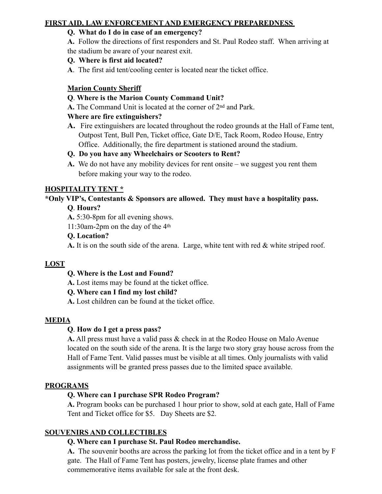## **FIRST AID, LAW ENFORCEMENT AND EMERGENCY PREPAREDNESS**

## **Q. What do I do in case of an emergency?**

 **A.** Follow the directions of first responders and St. Paul Rodeo staff. When arriving at the stadium be aware of your nearest exit.

#### **Q. Where is first aid located?**

**A**. The first aid tent/cooling center is located near the ticket office.

#### **Marion County Sheriff**

#### **Q**. **Where is the Marion County Command Unit?**

**A.** The Command Unit is located at the corner of 2nd and Park.

#### **Where are fire extinguishers?**

**A.** Fire extinguishers are located throughout the rodeo grounds at the Hall of Fame tent, Outpost Tent, Bull Pen, Ticket office, Gate D/E, Tack Room, Rodeo House, Entry Office. Additionally, the fire department is stationed around the stadium.

#### **Q. Do you have any Wheelchairs or Scooters to Rent?**

**A.** We do not have any mobility devices for rent onsite – we suggest you rent them before making your way to the rodeo.

#### **HOSPITALITY TENT \***

## **\*Only VIP's, Contestants & Sponsors are allowed. They must have a hospitality pass.**

#### **Q**. **Hours?**

**A.** 5:30-8pm for all evening shows.

11:30am-2pm on the day of the 4th

#### **Q. Location?**

**A.** It is on the south side of the arena. Large, white tent with red & white striped roof.

## **LOST**

#### **Q. Where is the Lost and Found?**

**A.** Lost items may be found at the ticket office.

#### **Q. Where can I find my lost child?**

**A.** Lost children can be found at the ticket office.

#### **MEDIA**

## **Q**. **How do I get a press pass?**

**A.** All press must have a valid pass & check in at the Rodeo House on Malo Avenue located on the south side of the arena. It is the large two story gray house across from the Hall of Fame Tent. Valid passes must be visible at all times. Only journalists with valid assignments will be granted press passes due to the limited space available.

#### **PROGRAMS**

## **Q. Where can I purchase SPR Rodeo Program?**

**A.** Program books can be purchased 1 hour prior to show, sold at each gate, Hall of Fame Tent and Ticket office for \$5. Day Sheets are \$2.

## **SOUVENIRS AND COLLECTIBLES**

## **Q. Where can I purchase St. Paul Rodeo merchandise.**

**A.** The souvenir booths are across the parking lot from the ticket office and in a tent by F gate. The Hall of Fame Tent has posters, jewelry, license plate frames and other commemorative items available for sale at the front desk.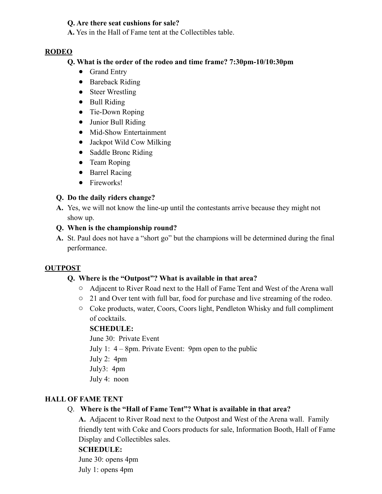#### **Q. Are there seat cushions for sale?**

**A.** Yes in the Hall of Fame tent at the Collectibles table.

#### **RODEO**

#### **Q. What is the order of the rodeo and time frame? 7:30pm-10/10:30pm**

- Grand Entry
- Bareback Riding
- Steer Wrestling
- Bull Riding
- Tie-Down Roping
- Junior Bull Riding
- Mid-Show Entertainment
- Jackpot Wild Cow Milking
- Saddle Bronc Riding
- Team Roping
- Barrel Racing
- Fireworks!

## **Q. Do the daily riders change?**

**A.** Yes, we will not know the line-up until the contestants arrive because they might not show up.

#### **Q. When is the championship round?**

**A.** St. Paul does not have a "short go" but the champions will be determined during the final performance.

#### **OUTPOST**

#### **Q. Where is the "Outpost"? What is available in that area?**

- o Adjacent to River Road next to the Hall of Fame Tent and West of the Arena wall
- o 21 and Over tent with full bar, food for purchase and live streaming of the rodeo.
- o Coke products, water, Coors, Coors light, Pendleton Whisky and full compliment of cocktails.

#### **SCHEDULE:**

June 30: Private Event

- July 1: 4 8pm. Private Event: 9pm open to the public
- July 2: 4pm
- July3: 4pm
- July 4: noon

#### **HALL OF FAME TENT**

## Q. **Where is the "Hall of Fame Tent"? What is available in that area?**

**A.** Adjacent to River Road next to the Outpost and West of the Arena wall. Family friendly tent with Coke and Coors products for sale, Information Booth, Hall of Fame Display and Collectibles sales.

#### **SCHEDULE:**

June 30: opens 4pm July 1: opens 4pm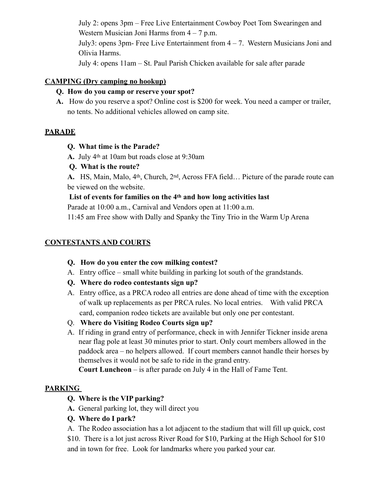July 2: opens 3pm – Free Live Entertainment Cowboy Poet Tom Swearingen and Western Musician Joni Harms from  $4 - 7$  p.m. July3: opens 3pm- Free Live Entertainment from 4 – 7. Western Musicians Joni and Olivia Harms. July 4: opens 11am – St. Paul Parish Chicken available for sale after parade

#### **CAMPING (Dry camping no hookup)**

## **Q. How do you camp or reserve your spot?**

**A.** How do you reserve a spot? Online cost is \$200 for week. You need a camper or trailer, no tents. No additional vehicles allowed on camp site.

## **PARADE**

#### **Q. What time is the Parade?**

- **A.** July 4th at 10am but roads close at 9:30am
- **Q. What is the route?**

**A.** HS, Main, Malo, 4th, Church, 2nd, Across FFA field… Picture of the parade route can be viewed on the website.

#### **List of events for families on the 4th and how long activities last**

Parade at 10:00 a.m., Carnival and Vendors open at 11:00 a.m.

11:45 am Free show with Dally and Spanky the Tiny Trio in the Warm Up Arena

## **CONTESTANTS AND COURTS**

- **Q. How do you enter the cow milking contest?**
- A. Entry office small white building in parking lot south of the grandstands.
- **Q. Where do rodeo contestants sign up?**
- A. Entry office, as a PRCA rodeo all entries are done ahead of time with the exception of walk up replacements as per PRCA rules. No local entries. With valid PRCA card, companion rodeo tickets are available but only one per contestant.
- Q. **Where do Visiting Rodeo Courts sign up?**
- A. If riding in grand entry of performance, check in with Jennifer Tickner inside arena near flag pole at least 30 minutes prior to start. Only court members allowed in the paddock area – no helpers allowed. If court members cannot handle their horses by themselves it would not be safe to ride in the grand entry.

**Court Luncheon** – is after parade on July 4 in the Hall of Fame Tent.

## **PARKING**

- **Q. Where is the VIP parking?**
- **A.** General parking lot, they will direct you
- **Q. Where do I park?**

 A. The Rodeo association has a lot adjacent to the stadium that will fill up quick, cost \$10. There is a lot just across River Road for \$10, Parking at the High School for \$10 and in town for free. Look for landmarks where you parked your car.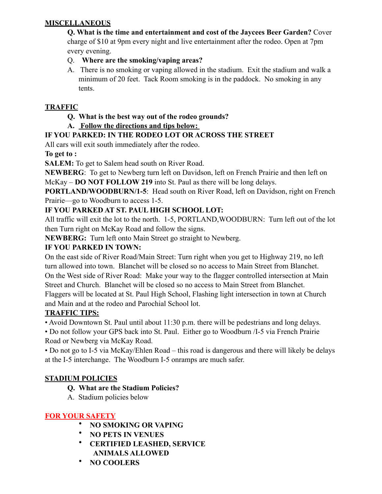## **MISCELLANEOUS**

 **Q. What is the time and entertainment and cost of the Jaycees Beer Garden?** Cover charge of \$10 at 9pm every night and live entertainment after the rodeo. Open at 7pm every evening.

- Q. **Where are the smoking/vaping areas?**
- A. There is no smoking or vaping allowed in the stadium. Exit the stadium and walk a minimum of 20 feet. Tack Room smoking is in the paddock. No smoking in any tents.

## **TRAFFIC**

## **Q. What is the best way out of the rodeo grounds?**

**A. Follow the directions and tips below:** 

## **IF YOU PARKED: IN THE RODEO LOT OR ACROSS THE STREET**

All cars will exit south immediately after the rodeo.

**To get to :** 

**SALEM:** To get to Salem head south on River Road.

**NEWBERG**: To get to Newberg turn left on Davidson, left on French Prairie and then left on McKay – **DO NOT FOLLOW 219** into St. Paul as there will be long delays.

**PORTLAND/WOODBURN/1-5**: Head south on River Road, left on Davidson, right on French Prairie—go to Woodburn to access 1-5.

## **IF YOU PARKED AT ST. PAUL HIGH SCHOOL LOT:**

All traffic will exit the lot to the north. 1-5, PORTLAND,WOODBURN: Turn left out of the lot then Turn right on McKay Road and follow the signs.

**NEWBERG:** Turn left onto Main Street go straight to Newberg.

## **IF YOU PARKED IN TOWN:**

On the east side of River Road/Main Street: Turn right when you get to Highway 219, no left turn allowed into town. Blanchet will be closed so no access to Main Street from Blanchet. On the West side of River Road: Make your way to the flagger controlled intersection at Main Street and Church. Blanchet will be closed so no access to Main Street from Blanchet. Flaggers will be located at St. Paul High School, Flashing light intersection in town at Church and Main and at the rodeo and Parochial School lot.

## **TRAFFIC TIPS:**

• Avoid Downtown St. Paul until about 11:30 p.m. there will be pedestrians and long delays.

• Do not follow your GPS back into St. Paul. Either go to Woodburn /I-5 via French Prairie Road or Newberg via McKay Road.

• Do not go to I-5 via McKay/Ehlen Road – this road is dangerous and there will likely be delays at the I-5 interchange. The Woodburn I-5 onramps are much safer.

## **STADIUM POLICIES**

- **Q. What are the Stadium Policies?**
- A. Stadium policies below

## **FOR YOUR SAFETY**

- **NO SMOKING OR VAPING**
- **NO PETS IN VENUES**
- **CERTIFIED LEASHED, SERVICE ANIMALS ALLOWED**
- **NO COOLERS**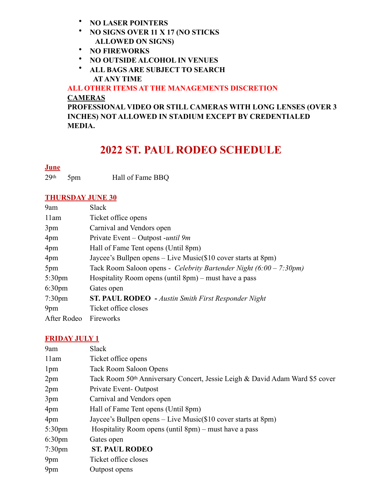- **NO LASER POINTERS**
- **NO SIGNS OVER 11 X 17 (NO STICKS ALLOWED ON SIGNS)**
- **NO FIREWORKS**
- **NO OUTSIDE ALCOHOL IN VENUES**
- **ALL BAGS ARE SUBJECT TO SEARCH AT ANY TIME**

**ALL OTHER ITEMS AT THE MANAGEMENTS DISCRETION CAMERAS** 

**PROFESSIONAL VIDEO OR STILL CAMERAS WITH LONG LENSES (OVER 3 INCHES) NOT ALLOWED IN STADIUM EXCEPT BY CREDENTIALED MEDIA.** 

# **2022 ST. PAUL RODEO SCHEDULE**

## **June**

29th 5pm Hall of Fame BBQ

## **THURSDAY JUNE 30**

| 9am                | <b>Slack</b>                                                                 |
|--------------------|------------------------------------------------------------------------------|
| 11am               | Ticket office opens                                                          |
| 3pm                | Carnival and Vendors open                                                    |
| 4pm                | Private Event – Outpost -until 9m                                            |
| 4pm                | Hall of Fame Tent opens (Until 8pm)                                          |
| 4 <sub>pm</sub>    | Jaycee's Bullpen opens – Live Music(\$10 cover starts at 8pm)                |
| 5pm                | Tack Room Saloon opens - Celebrity Bartender Night $(6:00 - 7:30 \text{pm})$ |
| 5:30 <sub>pm</sub> | Hospitality Room opens (until $8pm$ ) – must have a pass                     |
| 6:30 <sub>pm</sub> | Gates open                                                                   |
| 7:30 <sub>pm</sub> | ST. PAUL RODEO - Austin Smith First Responder Night                          |
| 9 <sub>pm</sub>    | Ticket office closes                                                         |
| After Rodeo        | Fireworks                                                                    |

#### **FRIDAY JULY 1**

| 9am                | Slack                                                                        |
|--------------------|------------------------------------------------------------------------------|
| 11am               | Ticket office opens                                                          |
| 1 <sub>pm</sub>    | <b>Tack Room Saloon Opens</b>                                                |
| 2pm                | Tack Room 50th Anniversary Concert, Jessie Leigh & David Adam Ward \$5 cover |
| 2pm                | Private Event-Outpost                                                        |
| 3pm                | Carnival and Vendors open                                                    |
| 4pm                | Hall of Fame Tent opens (Until 8pm)                                          |
| 4pm                | Jaycee's Bullpen opens – Live Music(\$10 cover starts at 8pm)                |
| 5:30 <sub>pm</sub> | Hospitality Room opens (until $8pm$ ) – must have a pass                     |
| 6:30 <sub>pm</sub> | Gates open                                                                   |
| 7:30 <sub>pm</sub> | <b>ST. PAUL RODEO</b>                                                        |
| 9 <sub>pm</sub>    | Ticket office closes                                                         |
| 9 <sub>pm</sub>    | Outpost opens                                                                |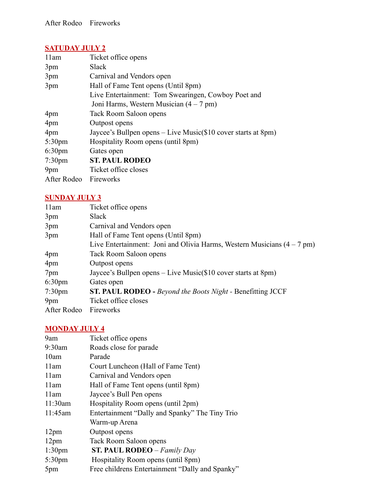## **SATUDAY JULY 2**

| 11am               | Ticket office opens                                             |
|--------------------|-----------------------------------------------------------------|
| 3pm                | Slack                                                           |
| 3pm                | Carnival and Vendors open                                       |
| 3pm                | Hall of Fame Tent opens (Until 8pm)                             |
|                    | Live Entertainment: Tom Swearingen, Cowboy Poet and             |
|                    | Joni Harms, Western Musician $(4 - 7$ pm)                       |
| 4pm                | Tack Room Saloon opens                                          |
| 4pm                | Outpost opens                                                   |
| 4pm                | Jaycee's Bullpen opens $-$ Live Music(\$10 cover starts at 8pm) |
| 5:30 <sub>pm</sub> | Hospitality Room opens (until 8pm)                              |
| 6:30 <sub>pm</sub> | Gates open                                                      |
| 7:30 <sub>pm</sub> | <b>ST. PAUL RODEO</b>                                           |
| 9 <sub>pm</sub>    | Ticket office closes                                            |
| After Rodeo        | Fireworks                                                       |

## **SUNDAY JULY 3**

| 11am               | Ticket office opens                                                               |
|--------------------|-----------------------------------------------------------------------------------|
| 3pm                | Slack                                                                             |
| 3pm                | Carnival and Vendors open                                                         |
| 3pm                | Hall of Fame Tent opens (Until 8pm)                                               |
|                    | Live Entertainment: Joni and Olivia Harms, Western Musicians $(4 - 7 \text{ pm})$ |
| 4pm                | Tack Room Saloon opens                                                            |
| 4pm                | Outpost opens                                                                     |
| 7pm                | Jaycee's Bullpen opens $-$ Live Music(\$10 cover starts at 8pm)                   |
| 6:30 <sub>pm</sub> | Gates open                                                                        |
| $7:30 \text{pm}$   | <b>ST. PAUL RODEO</b> - Beyond the Boots Night - Benefitting JCCF                 |
| 9 <sub>pm</sub>    | Ticket office closes                                                              |
| After Rodeo        | Fireworks                                                                         |

## **MONDAY JULY 4**

| 9am                | Ticket office opens                             |
|--------------------|-------------------------------------------------|
| $9:30$ am          | Roads close for parade                          |
| 10am               | Parade                                          |
| 11am               | Court Luncheon (Hall of Fame Tent)              |
| 11am               | Carnival and Vendors open                       |
| 11am               | Hall of Fame Tent opens (until 8pm)             |
| 11am               | Jaycee's Bull Pen opens                         |
| 11:30am            | Hospitality Room opens (until 2pm)              |
| 11:45am            | Entertainment "Dally and Spanky" The Tiny Trio  |
|                    | Warm-up Arena                                   |
| 12 <sub>pm</sub>   | Outpost opens                                   |
| 12 <sub>pm</sub>   | Tack Room Saloon opens                          |
| 1:30 <sub>pm</sub> | <b>ST. PAUL RODEO</b> – Family Day              |
| $5:30$ pm          | Hospitality Room opens (until 8pm)              |
| 5pm                | Free childrens Entertainment "Dally and Spanky" |